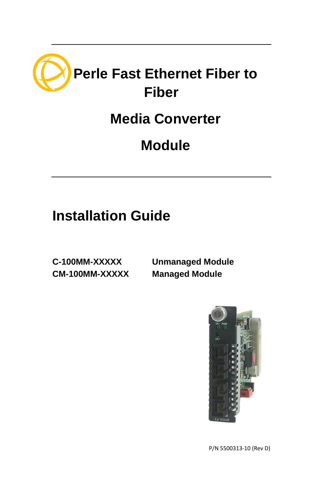

# **Media Converter**

# **Module**

# **Installation Guide**

**CM-100MM-XXXXX Managed Module** 

**C-100MM-XXXXX Unmanaged Module**



P/N 5500313-10 (Rev D)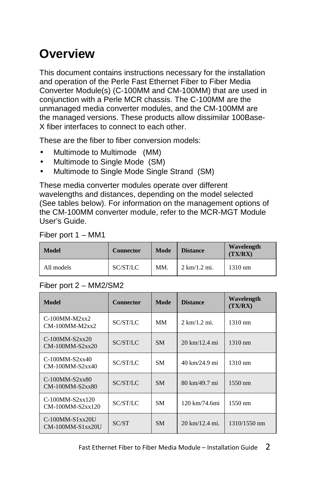# **Overview**

This document contains instructions necessary for the installation and operation of the Perle Fast Ethernet Fiber to Fiber Media Converter Module(s) (C-100MM and CM-100MM) that are used in conjunction with a Perle MCR chassis. The C-100MM are the unmanaged media converter modules, and the CM-100MM are the managed versions. These products allow dissimilar 100Base-X fiber interfaces to connect to each other.

These are the fiber to fiber conversion models:

- Multimode to Multimode (MM)
- Multimode to Single Mode (SM)
- Multimode to Single Mode Single Strand (SM)

These media converter modules operate over different wavelengths and distances, depending on the model selected (See tables below). For information on the management options of the CM-100MM converter module, refer to the MCR-MGT Module User's Guide.

All models SC/ST/LC MM. 2 km/1.2 mi. 1310 nm

**Wavelength (TX/RX)**

| FIDEI DUIL I – MINIT |                  |               |
|----------------------|------------------|---------------|
| Model                | <b>Connector</b> | Mode Distance |

#### Fiber port 2 – MM2/SM2

Fiber port 1 – MM1

| <b>Model</b>                                | <b>Connector</b><br>Mode |           | <b>Distance</b>                 | Wavelength<br>(TX/RX) |
|---------------------------------------------|--------------------------|-----------|---------------------------------|-----------------------|
| $C-100MM-M2xx2$<br>$CM-100MM-M2xx2$         | SC/ST/LC                 | MМ        | $2 \text{ km}/1.2 \text{ mi.}$  | $1310 \text{ nm}$     |
| $C-100MM-S2xx20$<br>$CM-100MM-S2xx20$       | SC/ST/LC                 | <b>SM</b> | $20 \text{ km}/12.4 \text{ mi}$ | $1310 \text{ nm}$     |
| $C-100$ MM-S2xx40<br>$CM-100MM-S2xx40$      | SC/ST/LC                 | <b>SM</b> | 40 km/24.9 mi                   | $1310 \text{ nm}$     |
| $C-100$ MM-S2xx80<br>$CM-100MM-S2xx80$      | SC/ST/LC                 | <b>SM</b> | 80 km/49.7 mi                   | $1550 \text{ nm}$     |
| $C-100$ MM-S2xx120<br>$CM-100MM-S2xx120$    | SC/ST/LC                 | <b>SM</b> | 120 km/74.6mi                   | $1550 \text{ nm}$     |
| $C-100$ MM- $S1xx20U$<br>$CM-100MM-S1xx20U$ | SC/ST                    | <b>SM</b> | 20 km/12.4 mi.                  | 1310/1550 nm          |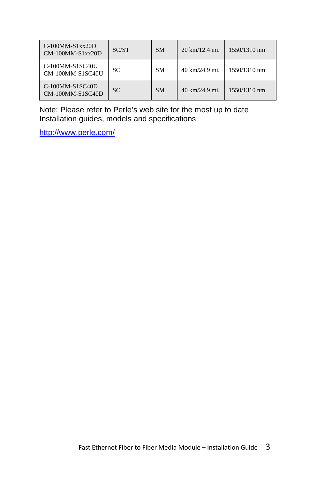| $C-100$ MM-S1xx20D<br>$CM-100MM-S1xx20D$ | SC/ST | <b>SM</b> | $20 \text{ km}/12.4 \text{ mi}.$ | 1550/1310 nm |
|------------------------------------------|-------|-----------|----------------------------------|--------------|
| C-100MM-S1SC40U<br>CM-100MM-S1SC40U      | SС    | <b>SM</b> | 40 km/24.9 mi.                   | 1550/1310 nm |
| $C-100MM-S1SC40D$<br>CM-100MM-S1SC40D    | SC.   | <b>SM</b> | 40 km/24.9 mi.                   | 1550/1310 nm |

Note: Please refer to Perle's web site for the most up to date Installation guides, models and specifications

http://www.perle.com/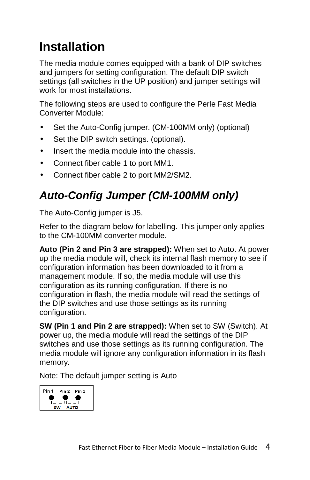# **Installation**

The media module comes equipped with a bank of DIP switches and jumpers for setting configuration. The default DIP switch settings (all switches in the UP position) and jumper settings will work for most installations.

The following steps are used to configure the Perle Fast Media Converter Module:

- Set the Auto-Config jumper. (CM-100MM only) (optional)
- Set the DIP switch settings. (optional).
- Insert the media module into the chassis.
- Connect fiber cable 1 to port MM1.
- Connect fiber cable 2 to port MM2/SM2.

## **Auto-Config Jumper (CM-100MM only)**

The Auto-Config jumper is J5.

Refer to the diagram below for labelling. This jumper only applies to the CM-100MM converter module.

**Auto (Pin 2 and Pin 3 are strapped):** When set to Auto. At power up the media module will, check its internal flash memory to see if configuration information has been downloaded to it from a management module. If so, the media module will use this configuration as its running configuration. If there is no configuration in flash, the media module will read the settings of the DIP switches and use those settings as its running configuration.

**SW (Pin 1 and Pin 2 are strapped):** When set to SW (Switch). At power up, the media module will read the settings of the DIP switches and use those settings as its running configuration. The media module will ignore any configuration information in its flash memory.

Note: The default jumper setting is Auto

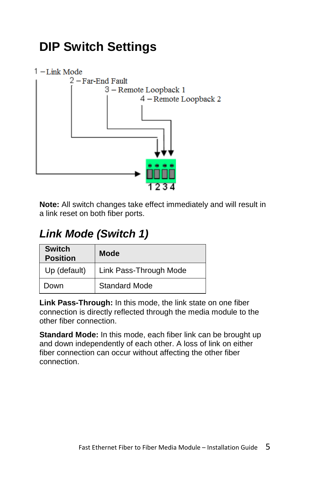# **DIP Switch Settings**



**Note:** All switch changes take effect immediately and will result in a link reset on both fiber ports.

## **Link Mode (Switch 1)**

| <b>Switch</b><br><b>Position</b> | Mode                   |
|----------------------------------|------------------------|
| Up (default)                     | Link Pass-Through Mode |
| Down                             | <b>Standard Mode</b>   |

**Link Pass-Through:** In this mode, the link state on one fiber connection is directly reflected through the media module to the other fiber connection.

**Standard Mode:** In this mode, each fiber link can be brought up and down independently of each other. A loss of link on either fiber connection can occur without affecting the other fiber connection.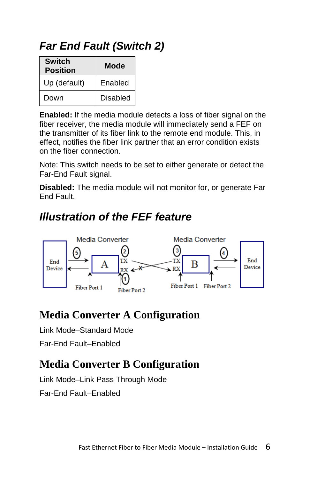### **Far End Fault (Switch 2)**

| <b>Switch</b><br><b>Position</b> | Mode            |
|----------------------------------|-----------------|
| Up (default)                     | Enabled         |
| Down                             | <b>Disabled</b> |

**Enabled:** If the media module detects a loss of fiber signal on the fiber receiver, the media module will immediately send a FEF on the transmitter of its fiber link to the remote end module. This, in effect, notifies the fiber link partner that an error condition exists on the fiber connection.

Note: This switch needs to be set to either generate or detect the Far-End Fault signal.

**Disabled:** The media module will not monitor for, or generate Far End Fault.

### **Illustration of the FEF feature**



### **Media Converter A Configuration**

Link Mode–Standard Mode

Far-End Fault–Enabled

### **Media Converter B Configuration**

Link Mode–Link Pass Through Mode

Far-End Fault–Enabled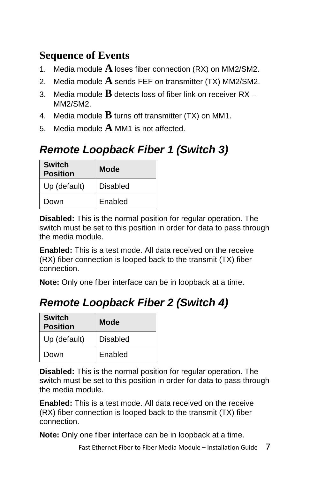### **Sequence of Events**

- 1. Media module **A** loses fiber connection (RX) on MM2/SM2.
- 2. Media module **A** sends FEF on transmitter (TX) MM2/SM2.
- 3. Media module **B** detects loss of fiber link on receiver RX MM2/SM2.
- 4. Media module  $\bf{B}$  turns off transmitter (TX) on MM1.
- 5. Media module **A** MM1 is not affected.

## **Remote Loopback Fiber 1 (Switch 3)**

| <b>Switch</b><br><b>Position</b> | Mode     |
|----------------------------------|----------|
| Up (default)                     | Disabled |
| Down                             | Enabled  |

**Disabled:** This is the normal position for regular operation. The switch must be set to this position in order for data to pass through the media module.

**Enabled:** This is a test mode. All data received on the receive (RX) fiber connection is looped back to the transmit (TX) fiber connection.

**Note:** Only one fiber interface can be in loopback at a time.

## **Remote Loopback Fiber 2 (Switch 4)**

| <b>Switch</b><br><b>Position</b> | Mode     |
|----------------------------------|----------|
| Up (default)                     | Disabled |
| Down                             | Enabled  |

**Disabled:** This is the normal position for regular operation. The switch must be set to this position in order for data to pass through the media module.

**Enabled:** This is a test mode. All data received on the receive (RX) fiber connection is looped back to the transmit (TX) fiber connection.

**Note:** Only one fiber interface can be in loopback at a time.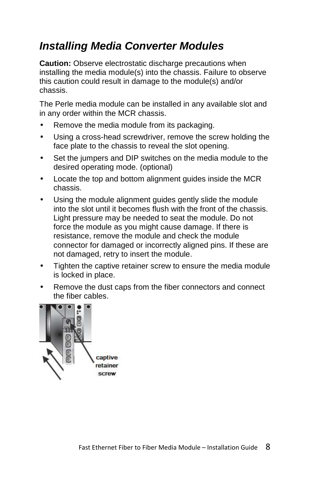### **Installing Media Converter Modules**

**Caution:** Observe electrostatic discharge precautions when installing the media module(s) into the chassis. Failure to observe this caution could result in damage to the module(s) and/or chassis.

The Perle media module can be installed in any available slot and in any order within the MCR chassis.

- Remove the media module from its packaging.
- Using a cross-head screwdriver, remove the screw holding the face plate to the chassis to reveal the slot opening.
- Set the jumpers and DIP switches on the media module to the desired operating mode. (optional)
- Locate the top and bottom alignment guides inside the MCR chassis.
- Using the module alignment guides gently slide the module into the slot until it becomes flush with the front of the chassis. Light pressure may be needed to seat the module. Do not force the module as you might cause damage. If there is resistance, remove the module and check the module connector for damaged or incorrectly aligned pins. If these are not damaged, retry to insert the module.
- Tighten the captive retainer screw to ensure the media module is locked in place.
- Remove the dust caps from the fiber connectors and connect the fiber cables.

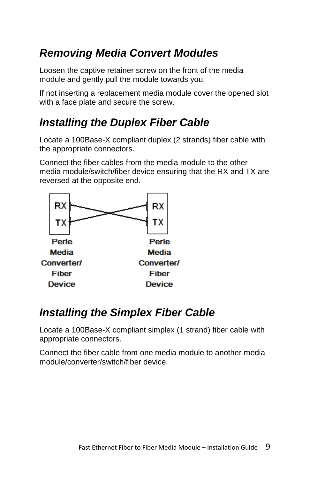## **Removing Media Convert Modules**

Loosen the captive retainer screw on the front of the media module and gently pull the module towards you.

If not inserting a replacement media module cover the opened slot with a face plate and secure the screw.

### **Installing the Duplex Fiber Cable**

Locate a 100Base-X compliant duplex (2 strands) fiber cable with the appropriate connectors.

Connect the fiber cables from the media module to the other media module/switch/fiber device ensuring that the RX and TX are reversed at the opposite end.



### **Installing the Simplex Fiber Cable**

Locate a 100Base-X compliant simplex (1 strand) fiber cable with appropriate connectors.

Connect the fiber cable from one media module to another media module/converter/switch/fiber device.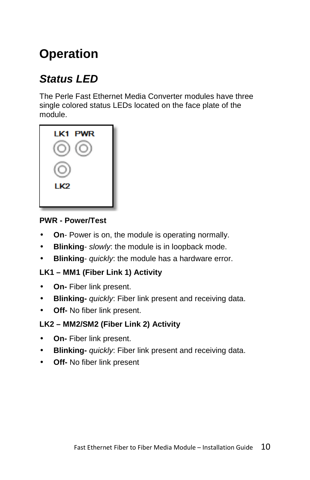# **Operation**

## **Status LED**

The Perle Fast Ethernet Media Converter modules have three single colored status LEDs located on the face plate of the module.

| LK1 PWR         |  |
|-----------------|--|
|                 |  |
|                 |  |
| LK <sub>2</sub> |  |
|                 |  |

#### **PWR - Power/Test**

- **On** Power is on, the module is operating normally.
- **Blinking** slowly: the module is in loopback mode.
- **Blinking** quickly: the module has a hardware error.

#### **LK1 – MM1 (Fiber Link 1) Activity**

- **On-** Fiber link present.
- **Blinking-** quickly: Fiber link present and receiving data.
- **Off-** No fiber link present.

#### **LK2 – MM2/SM2 (Fiber Link 2) Activity**

- **On-** Fiber link present.
- **Blinking-** quickly: Fiber link present and receiving data.
- **Off-** No fiber link present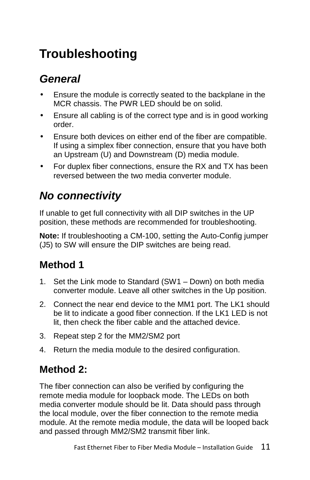# **Troubleshooting**

## **General**

- Ensure the module is correctly seated to the backplane in the MCR chassis. The PWR LED should be on solid.
- Ensure all cabling is of the correct type and is in good working order.
- Ensure both devices on either end of the fiber are compatible. If using a simplex fiber connection, ensure that you have both an Upstream (U) and Downstream (D) media module.
- For duplex fiber connections, ensure the RX and TX has been reversed between the two media converter module.

## **No connectivity**

If unable to get full connectivity with all DIP switches in the UP position, these methods are recommended for troubleshooting.

**Note:** If troubleshooting a CM-100, setting the Auto-Config jumper (J5) to SW will ensure the DIP switches are being read.

### **Method 1**

- 1. Set the Link mode to Standard (SW1 Down) on both media converter module. Leave all other switches in the Up position.
- 2. Connect the near end device to the MM1 port. The LK1 should be lit to indicate a good fiber connection. If the LK1 LED is not lit, then check the fiber cable and the attached device.
- 3. Repeat step 2 for the MM2/SM2 port
- 4. Return the media module to the desired configuration.

### **Method 2:**

The fiber connection can also be verified by configuring the remote media module for loopback mode. The LEDs on both media converter module should be lit. Data should pass through the local module, over the fiber connection to the remote media module. At the remote media module, the data will be looped back and passed through MM2/SM2 transmit fiber link.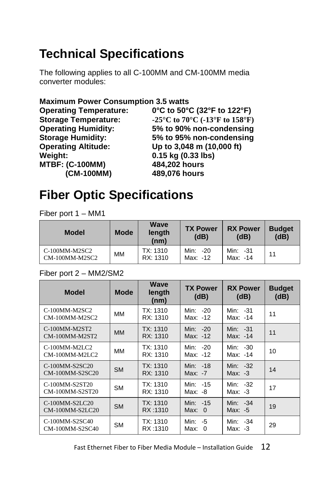# **Technical Specifications**

The following applies to all C-100MM and CM-100MM media converter modules:

#### **Maximum Power Consumption 3.5 watts**

| <b>Operating Temperature:</b> | 0°C to 50°C (32°F to 122°F)                                                                 |
|-------------------------------|---------------------------------------------------------------------------------------------|
| <b>Storage Temperature:</b>   | -25 $\rm{^{\circ}C}$ to 70 $\rm{^{\circ}C}$ (-13 $\rm{^{\circ}F}$ to 158 $\rm{^{\circ}F}$ ) |
| <b>Operating Humidity:</b>    | 5% to 90% non-condensing                                                                    |
| <b>Storage Humidity:</b>      | 5% to 95% non-condensing                                                                    |
| <b>Operating Altitude:</b>    | Up to 3,048 m (10,000 ft)                                                                   |
| Weight:                       | 0.15 kg (0.33 lbs)                                                                          |
| <b>MTBF: (C-100MM)</b>        | 484,202 hours                                                                               |
| (CM-100MM)                    | 489,076 hours                                                                               |

## **Fiber Optic Specifications**

Fiber port 1 – MM1

| <b>Model</b>                    | <b>Mode</b> | <b>Wave</b><br>length<br>(nm) | <b>TX Power</b><br>(dB) | <b>RX Power</b><br>(dB) | <b>Budget</b><br>(dB) |
|---------------------------------|-------------|-------------------------------|-------------------------|-------------------------|-----------------------|
| C-100MM-M2SC2<br>CM-100MM-M2SC2 | MМ          | TX: 1310<br>RX: 1310          | Min: -20<br>Max: -12    | Min: 31<br>Max: -14     | 11                    |

#### Fiber port 2 – MM2/SM2

| <b>Model</b>                             | <b>Mode</b> | Wave<br>length<br>(nm) | <b>TX Power</b><br>(dB)        | <b>RX Power</b><br>(dB) | <b>Budget</b><br>(dB) |
|------------------------------------------|-------------|------------------------|--------------------------------|-------------------------|-----------------------|
| C-100MM-M2SC2<br>CM-100MM-M2SC2          | MM          | TX: 1310<br>RX: 1310   | Min: -20<br>Max: -12           | Min: -31<br>Max: -14    | 11                    |
| C-100MM-M2ST2<br>CM-100MM-M2ST2          | <b>MM</b>   | TX: 1310<br>RX: 1310   | Min: $-20$<br>Max: -12         | Min: 31<br>Max: -14     | 11                    |
| C-100MM-M2LC2<br>CM-100MM-M2LC2          | MM          | TX: 1310<br>RX: 1310   | Min: -20<br>Max: -12           | Min: -30<br>Max: -14    | 10                    |
| C-100MM-S2SC20<br>CM-100MM-S2SC20        | <b>SM</b>   | TX: 1310<br>RX: 1310   | Min: -18<br>$Max: -7$          | Min: -32<br>Max: $-3$   | 14                    |
| C-100MM-S2ST20<br>CM-100MM-S2ST20        | <b>SM</b>   | TX: 1310<br>RX: 1310   | Min: -15<br>Max: -8            | Min: -32<br>Max: $-3$   | 17                    |
| $C-100$ MM-S2I $C$ 20<br>CM-100MM-S2LC20 | <b>SM</b>   | TX: 1310<br>RX:1310    | Min: -15<br>Max: 0             | Min: -34<br>Max: -5     | 19                    |
| C-100MM-S2SC40<br>CM-100MM-S2SC40        | <b>SM</b>   | TX: 1310<br>RX:1310    | Min:<br>-5<br>Max:<br>$\Omega$ | Min: -34<br>Max: -3     | 29                    |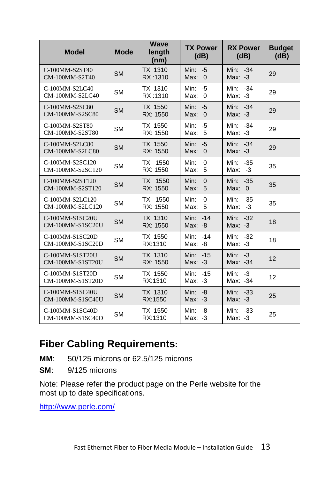| <b>Model</b>                               | <b>Mode</b> | <b>Wave</b><br>length<br>(nm) | <b>TX Power</b><br>(dB)                | <b>RX Power</b><br>(dB)           | <b>Budget</b><br>(dB) |
|--------------------------------------------|-------------|-------------------------------|----------------------------------------|-----------------------------------|-----------------------|
| C-100MM-S2ST40<br>CM-100MM-S2T40           | <b>SM</b>   | TX: 1310<br>RX:1310           | Min:<br>$-5$<br>Max:<br>$\Omega$       | Min: -34<br>$Max: -3$             | 29                    |
| C-100MM-S2LC40<br>CM-100MM-S2LC40          | <b>SM</b>   | TX: 1310<br>RX:1310           | Min:<br>$-5$<br>$\Omega$<br>Max:       | Min: -34<br>Max: -3               | 29                    |
| C-100MM-S2SC80<br>CM-100MM-S2SC80          | <b>SM</b>   | TX: 1550<br>RX: 1550          | Min:<br>$-5$<br>$\mathbf 0$<br>Max:    | Min: -34<br>$Max: -3$             | 29                    |
| C-100MM-S2ST80<br>CM-100MM-S2ST80          | <b>SM</b>   | TX: 1550<br>RX: 1550          | Min:<br>$-5$<br>Max:<br>5              | Min: -34<br>$Max: -3$             | 29                    |
| C-100MM-S2LC80<br>CM-100MM-S2LC80          | <b>SM</b>   | TX: 1550<br>RX: 1550          | Min:<br>$-5$<br>Max:<br>$\overline{0}$ | Min: -34<br>$Max: -3$             | 29                    |
| C-100MM-S2SC120<br>CM-100MM-S2SC120        | <b>SM</b>   | TX: 1550<br>RX: 1550          | $\mathbf 0$<br>Min:<br>5<br>Max:       | $-35$<br>Min:<br>Max:<br>$-3$     | 35                    |
| C-100MM-S2ST120<br>CM-100MM-S2ST120        | <b>SM</b>   | TX: 1550<br>RX: 1550          | Min:<br>$\Omega$<br>Max:<br>5          | Min:<br>$-35$<br>Max:<br>$\Omega$ | 35                    |
| C-100MM-S2LC120<br>CM-100MM-S2LC120        | <b>SM</b>   | TX: 1550<br>RX: 1550          | Min:<br>$\Omega$<br>5<br>Max:          | Min:<br>$-35$<br>$-3$<br>Max:     | 35                    |
| C-100MM-S1SC20U<br><b>CM-100MM-S1SC20U</b> | <b>SM</b>   | TX: 1310<br>RX: 1550          | $-14$<br>Min:<br>Max: -8               | Min:<br>$-32$<br>$Max: -3$        | 18                    |
| C-100MM-S1SC20D<br>CM-100MM-S1SC20D        | <b>SM</b>   | TX: 1550<br>RX:1310           | Min:<br>$-14$<br>Max: -8               | Min: -32<br>$Max: -3$             | 18                    |
| C-100MM-S1ST20U<br>CM-100MM-S1ST20U        | <b>SM</b>   | TX: 1310<br>RX: 1550          | Min: -15<br>$Max: -3$                  | Min: $-3$<br>Max: -34             | 12                    |
| C-100MM-S1ST20D<br>CM-100MM-S1ST20D        | <b>SM</b>   | TX: 1550<br>RX:1310           | Min:<br>$-15$<br>Max: -3               | Min:<br>$-3$<br>Max: -34          | 12                    |
| C-100MM-S1SC40U<br>CM-100MM-S1SC40U        | <b>SM</b>   | TX: 1310<br>RX:1550           | Min:<br>$-8$<br>$Max: -3$              | Min: -33<br>$Max: -3$             | 25                    |
| C-100MM-S1SC40D<br>CM-100MM-S1SC40D        | <b>SM</b>   | TX: 1550<br>RX:1310           | Min:<br>-8<br>Max: -3                  | Min:<br>$-33$<br>Max: -3          | 25                    |

#### **Fiber Cabling Requirements:**

- **MM**: 50/125 microns or 62.5/125 microns
- **SM**: 9/125 microns

Note: Please refer the product page on the Perle website for the most up to date specifications.

http://www.perle.com/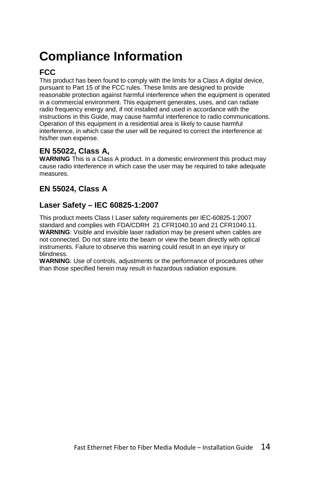# **Compliance Information**

#### **FCC**

This product has been found to comply with the limits for a Class A digital device, pursuant to Part 15 of the FCC rules. These limits are designed to provide reasonable protection against harmful interference when the equipment is operated in a commercial environment. This equipment generates, uses, and can radiate radio frequency energy and, if not installed and used in accordance with the instructions in this Guide, may cause harmful interference to radio communications. Operation of this equipment in a residential area is likely to cause harmful interference, in which case the user will be required to correct the interference at his/her own expense.

#### **EN 55022, Class A,**

**WARNING** This is a Class A product. In a domestic environment this product may cause radio interference in which case the user may be required to take adequate measures.

#### **EN 55024, Class A**

#### **Laser Safety – IEC 60825-1:2007**

This product meets Class I Laser safety requirements per IEC-60825-1:2007 standard and complies with FDA/CDRH 21 CFR1040.10 and 21 CFR1040.11. **WARNING**: Visible and invisible laser radiation may be present when cables are not connected. Do not stare into the beam or view the beam directly with optical instruments. Failure to observe this warning could result in an eye injury or blindness.

**WARNING**: Use of controls, adjustments or the performance of procedures other than those specified herein may result in hazardous radiation exposure.